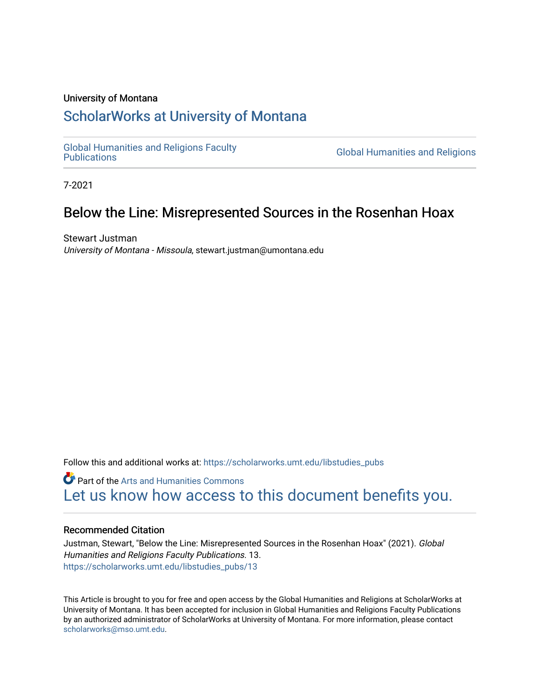### University of Montana

# [ScholarWorks at University of Montana](https://scholarworks.umt.edu/)

[Global Humanities and Religions Faculty](https://scholarworks.umt.edu/libstudies_pubs)

**Global Humanities and Religions** 

7-2021

# Below the Line: Misrepresented Sources in the Rosenhan Hoax

Stewart Justman University of Montana - Missoula, stewart.justman@umontana.edu

Follow this and additional works at: [https://scholarworks.umt.edu/libstudies\\_pubs](https://scholarworks.umt.edu/libstudies_pubs?utm_source=scholarworks.umt.edu%2Flibstudies_pubs%2F13&utm_medium=PDF&utm_campaign=PDFCoverPages) 

**Part of the Arts and Humanities Commons** [Let us know how access to this document benefits you.](https://goo.gl/forms/s2rGfXOLzz71qgsB2) 

#### Recommended Citation

Justman, Stewart, "Below the Line: Misrepresented Sources in the Rosenhan Hoax" (2021). Global Humanities and Religions Faculty Publications. 13. [https://scholarworks.umt.edu/libstudies\\_pubs/13](https://scholarworks.umt.edu/libstudies_pubs/13?utm_source=scholarworks.umt.edu%2Flibstudies_pubs%2F13&utm_medium=PDF&utm_campaign=PDFCoverPages)

This Article is brought to you for free and open access by the Global Humanities and Religions at ScholarWorks at University of Montana. It has been accepted for inclusion in Global Humanities and Religions Faculty Publications by an authorized administrator of ScholarWorks at University of Montana. For more information, please contact [scholarworks@mso.umt.edu.](mailto:scholarworks@mso.umt.edu)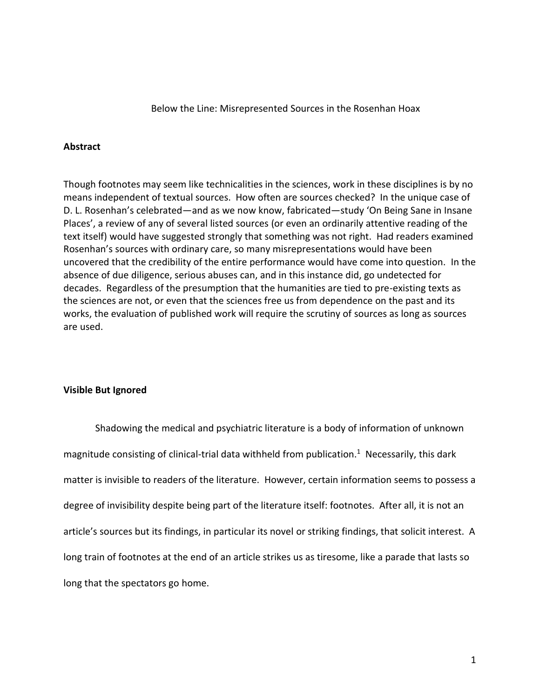Below the Line: Misrepresented Sources in the Rosenhan Hoax

# **Abstract**

Though footnotes may seem like technicalities in the sciences, work in these disciplines is by no means independent of textual sources. How often are sources checked? In the unique case of D. L. Rosenhan's celebrated—and as we now know, fabricated—study 'On Being Sane in Insane Places', a review of any of several listed sources (or even an ordinarily attentive reading of the text itself) would have suggested strongly that something was not right. Had readers examined Rosenhan's sources with ordinary care, so many misrepresentations would have been uncovered that the credibility of the entire performance would have come into question. In the absence of due diligence, serious abuses can, and in this instance did, go undetected for decades. Regardless of the presumption that the humanities are tied to pre-existing texts as the sciences are not, or even that the sciences free us from dependence on the past and its works, the evaluation of published work will require the scrutiny of sources as long as sources are used.

# **Visible But Ignored**

Shadowing the medical and psychiatric literature is a body of information of unknown magnitude consisting of clinical-trial data withheld from publication.<sup>1</sup> Necessarily, this dark matter is invisible to readers of the literature. However, certain information seems to possess a degree of invisibility despite being part of the literature itself: footnotes. After all, it is not an article's sources but its findings, in particular its novel or striking findings, that solicit interest. A long train of footnotes at the end of an article strikes us as tiresome, like a parade that lasts so long that the spectators go home.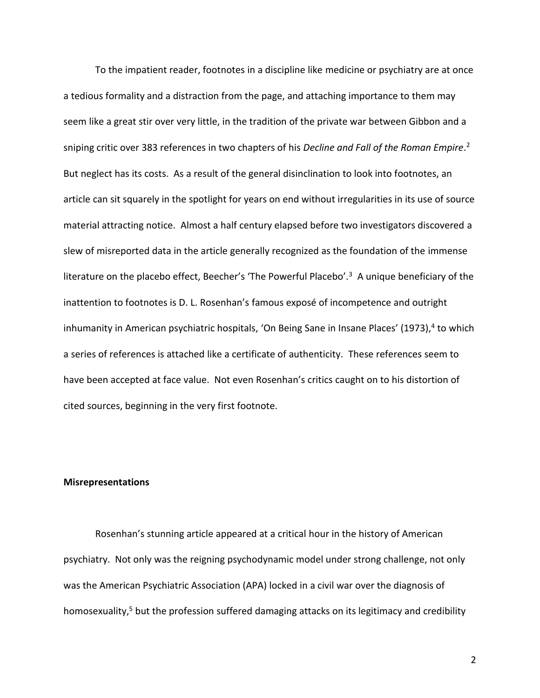To the impatient reader, footnotes in a discipline like medicine or psychiatry are at once a tedious formality and a distraction from the page, and attaching importance to them may seem like a great stir over very little, in the tradition of the private war between Gibbon and a sniping critic over 383 references in two chapters of his *Decline and Fall of the Roman Empire*. 2 But neglect has its costs. As a result of the general disinclination to look into footnotes, an article can sit squarely in the spotlight for years on end without irregularities in its use of source material attracting notice. Almost a half century elapsed before two investigators discovered a slew of misreported data in the article generally recognized as the foundation of the immense literature on the placebo effect, Beecher's 'The Powerful Placebo'.<sup>3</sup> A unique beneficiary of the inattention to footnotes is D. L. Rosenhan's famous exposé of incompetence and outright inhumanity in American psychiatric hospitals, 'On Being Sane in Insane Places' (1973),<sup>4</sup> to which a series of references is attached like a certificate of authenticity. These references seem to have been accepted at face value. Not even Rosenhan's critics caught on to his distortion of cited sources, beginning in the very first footnote.

#### **Misrepresentations**

Rosenhan's stunning article appeared at a critical hour in the history of American psychiatry. Not only was the reigning psychodynamic model under strong challenge, not only was the American Psychiatric Association (APA) locked in a civil war over the diagnosis of homosexuality,<sup>5</sup> but the profession suffered damaging attacks on its legitimacy and credibility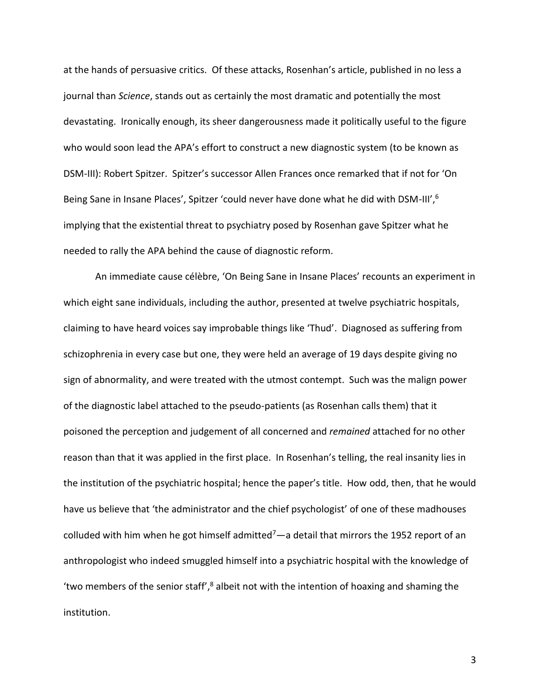at the hands of persuasive critics. Of these attacks, Rosenhan's article, published in no less a journal than *Science*, stands out as certainly the most dramatic and potentially the most devastating. Ironically enough, its sheer dangerousness made it politically useful to the figure who would soon lead the APA's effort to construct a new diagnostic system (to be known as DSM-III): Robert Spitzer. Spitzer's successor Allen Frances once remarked that if not for 'On Being Sane in Insane Places', Spitzer 'could never have done what he did with DSM-III',<sup>6</sup> implying that the existential threat to psychiatry posed by Rosenhan gave Spitzer what he needed to rally the APA behind the cause of diagnostic reform.

An immediate cause célèbre, 'On Being Sane in Insane Places' recounts an experiment in which eight sane individuals, including the author, presented at twelve psychiatric hospitals, claiming to have heard voices say improbable things like 'Thud'. Diagnosed as suffering from schizophrenia in every case but one, they were held an average of 19 days despite giving no sign of abnormality, and were treated with the utmost contempt. Such was the malign power of the diagnostic label attached to the pseudo-patients (as Rosenhan calls them) that it poisoned the perception and judgement of all concerned and *remained* attached for no other reason than that it was applied in the first place. In Rosenhan's telling, the real insanity lies in the institution of the psychiatric hospital; hence the paper's title. How odd, then, that he would have us believe that 'the administrator and the chief psychologist' of one of these madhouses colluded with him when he got himself admitted<sup>7</sup>—a detail that mirrors the 1952 report of an anthropologist who indeed smuggled himself into a psychiatric hospital with the knowledge of 'two members of the senior staff',<sup>8</sup> albeit not with the intention of hoaxing and shaming the institution.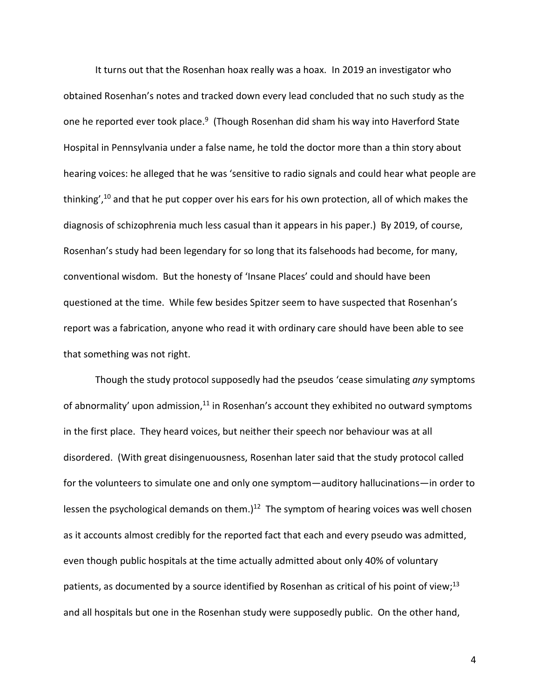It turns out that the Rosenhan hoax really was a hoax. In 2019 an investigator who obtained Rosenhan's notes and tracked down every lead concluded that no such study as the one he reported ever took place.<sup>9</sup> (Though Rosenhan did sham his way into Haverford State Hospital in Pennsylvania under a false name, he told the doctor more than a thin story about hearing voices: he alleged that he was 'sensitive to radio signals and could hear what people are thinking', <sup>10</sup> and that he put copper over his ears for his own protection, all of which makes the diagnosis of schizophrenia much less casual than it appears in his paper.) By 2019, of course, Rosenhan's study had been legendary for so long that its falsehoods had become, for many, conventional wisdom. But the honesty of 'Insane Places' could and should have been questioned at the time. While few besides Spitzer seem to have suspected that Rosenhan's report was a fabrication, anyone who read it with ordinary care should have been able to see that something was not right.

Though the study protocol supposedly had the pseudos 'cease simulating *any* symptoms of abnormality' upon admission,<sup>11</sup> in Rosenhan's account they exhibited no outward symptoms in the first place. They heard voices, but neither their speech nor behaviour was at all disordered. (With great disingenuousness, Rosenhan later said that the study protocol called for the volunteers to simulate one and only one symptom—auditory hallucinations—in order to lessen the psychological demands on them.) $^{12}$  The symptom of hearing voices was well chosen as it accounts almost credibly for the reported fact that each and every pseudo was admitted, even though public hospitals at the time actually admitted about only 40% of voluntary patients, as documented by a source identified by Rosenhan as critical of his point of view;<sup>13</sup> and all hospitals but one in the Rosenhan study were supposedly public. On the other hand,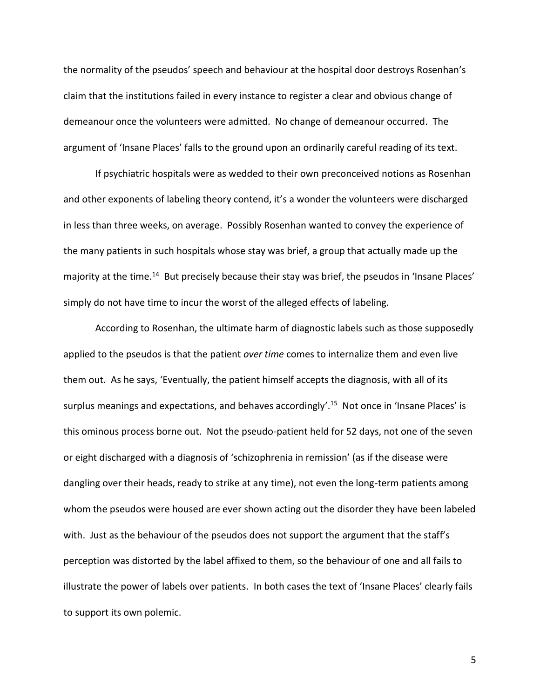the normality of the pseudos' speech and behaviour at the hospital door destroys Rosenhan's claim that the institutions failed in every instance to register a clear and obvious change of demeanour once the volunteers were admitted. No change of demeanour occurred. The argument of 'Insane Places' falls to the ground upon an ordinarily careful reading of its text.

If psychiatric hospitals were as wedded to their own preconceived notions as Rosenhan and other exponents of labeling theory contend, it's a wonder the volunteers were discharged in less than three weeks, on average. Possibly Rosenhan wanted to convey the experience of the many patients in such hospitals whose stay was brief, a group that actually made up the majority at the time.<sup>14</sup> But precisely because their stay was brief, the pseudos in 'Insane Places' simply do not have time to incur the worst of the alleged effects of labeling.

According to Rosenhan, the ultimate harm of diagnostic labels such as those supposedly applied to the pseudos is that the patient *over time* comes to internalize them and even live them out. As he says, 'Eventually, the patient himself accepts the diagnosis, with all of its surplus meanings and expectations, and behaves accordingly'.<sup>15</sup> Not once in 'Insane Places' is this ominous process borne out. Not the pseudo-patient held for 52 days, not one of the seven or eight discharged with a diagnosis of 'schizophrenia in remission' (as if the disease were dangling over their heads, ready to strike at any time), not even the long-term patients among whom the pseudos were housed are ever shown acting out the disorder they have been labeled with. Just as the behaviour of the pseudos does not support the argument that the staff's perception was distorted by the label affixed to them, so the behaviour of one and all fails to illustrate the power of labels over patients. In both cases the text of 'Insane Places' clearly fails to support its own polemic.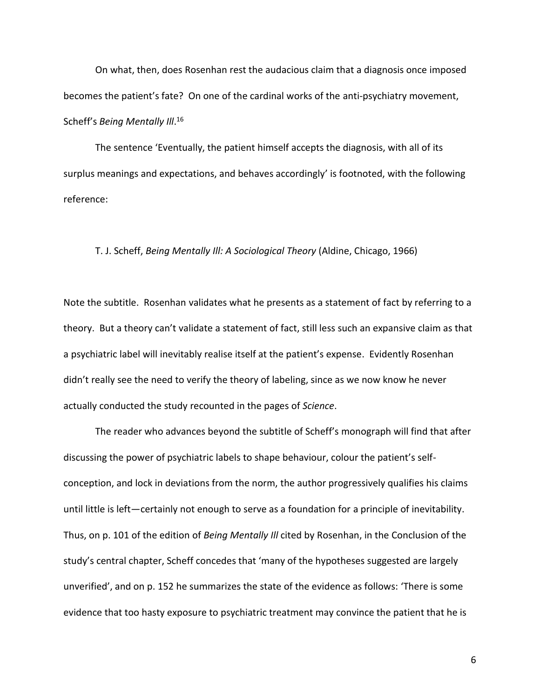On what, then, does Rosenhan rest the audacious claim that a diagnosis once imposed becomes the patient's fate? On one of the cardinal works of the anti-psychiatry movement, Scheff's *Being Mentally Ill*. 16

The sentence 'Eventually, the patient himself accepts the diagnosis, with all of its surplus meanings and expectations, and behaves accordingly' is footnoted, with the following reference:

#### T. J. Scheff, *Being Mentally Ill: A Sociological Theory* (Aldine, Chicago, 1966)

Note the subtitle. Rosenhan validates what he presents as a statement of fact by referring to a theory. But a theory can't validate a statement of fact, still less such an expansive claim as that a psychiatric label will inevitably realise itself at the patient's expense. Evidently Rosenhan didn't really see the need to verify the theory of labeling, since as we now know he never actually conducted the study recounted in the pages of *Science*.

The reader who advances beyond the subtitle of Scheff's monograph will find that after discussing the power of psychiatric labels to shape behaviour, colour the patient's selfconception, and lock in deviations from the norm, the author progressively qualifies his claims until little is left—certainly not enough to serve as a foundation for a principle of inevitability. Thus, on p. 101 of the edition of *Being Mentally Ill* cited by Rosenhan, in the Conclusion of the study's central chapter, Scheff concedes that 'many of the hypotheses suggested are largely unverified', and on p. 152 he summarizes the state of the evidence as follows: 'There is some evidence that too hasty exposure to psychiatric treatment may convince the patient that he is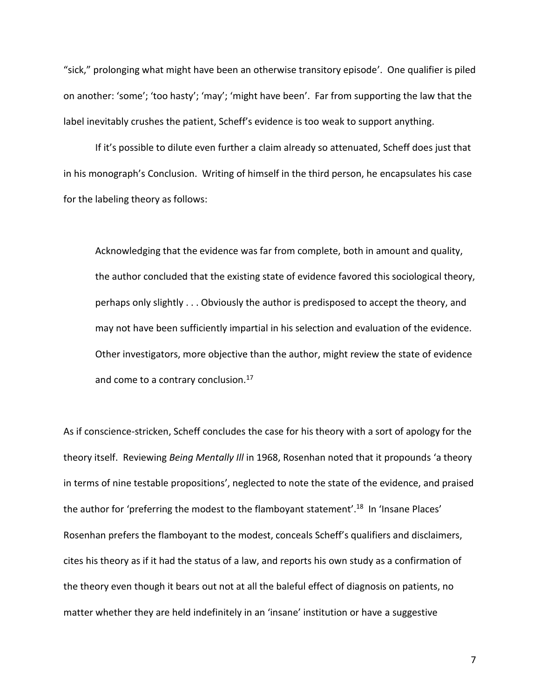"sick," prolonging what might have been an otherwise transitory episode'. One qualifier is piled on another: 'some'; 'too hasty'; 'may'; 'might have been'. Far from supporting the law that the label inevitably crushes the patient, Scheff's evidence is too weak to support anything.

If it's possible to dilute even further a claim already so attenuated, Scheff does just that in his monograph's Conclusion. Writing of himself in the third person, he encapsulates his case for the labeling theory as follows:

Acknowledging that the evidence was far from complete, both in amount and quality, the author concluded that the existing state of evidence favored this sociological theory, perhaps only slightly . . . Obviously the author is predisposed to accept the theory, and may not have been sufficiently impartial in his selection and evaluation of the evidence. Other investigators, more objective than the author, might review the state of evidence and come to a contrary conclusion.<sup>17</sup>

As if conscience-stricken, Scheff concludes the case for his theory with a sort of apology for the theory itself. Reviewing *Being Mentally Ill* in 1968, Rosenhan noted that it propounds 'a theory in terms of nine testable propositions', neglected to note the state of the evidence, and praised the author for 'preferring the modest to the flamboyant statement'.<sup>18</sup> In 'Insane Places' Rosenhan prefers the flamboyant to the modest, conceals Scheff's qualifiers and disclaimers, cites his theory as if it had the status of a law, and reports his own study as a confirmation of the theory even though it bears out not at all the baleful effect of diagnosis on patients, no matter whether they are held indefinitely in an 'insane' institution or have a suggestive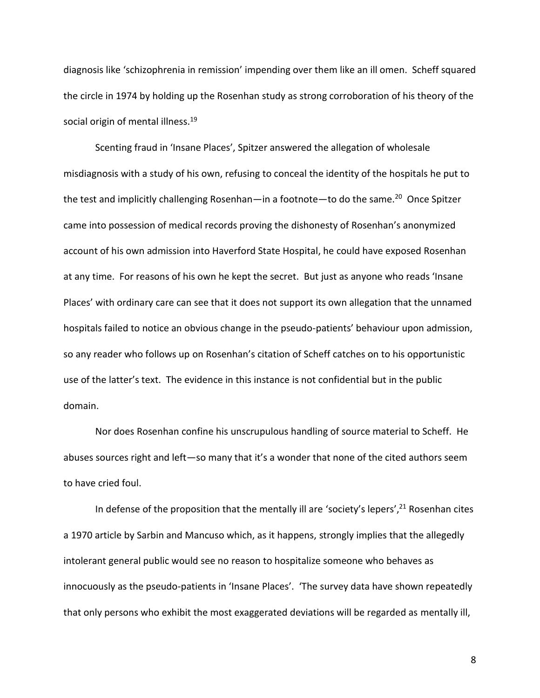diagnosis like 'schizophrenia in remission' impending over them like an ill omen. Scheff squared the circle in 1974 by holding up the Rosenhan study as strong corroboration of his theory of the social origin of mental illness.<sup>19</sup>

Scenting fraud in 'Insane Places', Spitzer answered the allegation of wholesale misdiagnosis with a study of his own, refusing to conceal the identity of the hospitals he put to the test and implicitly challenging Rosenhan—in a footnote—to do the same.<sup>20</sup> Once Spitzer came into possession of medical records proving the dishonesty of Rosenhan's anonymized account of his own admission into Haverford State Hospital, he could have exposed Rosenhan at any time. For reasons of his own he kept the secret. But just as anyone who reads 'Insane Places' with ordinary care can see that it does not support its own allegation that the unnamed hospitals failed to notice an obvious change in the pseudo-patients' behaviour upon admission, so any reader who follows up on Rosenhan's citation of Scheff catches on to his opportunistic use of the latter's text. The evidence in this instance is not confidential but in the public domain.

Nor does Rosenhan confine his unscrupulous handling of source material to Scheff. He abuses sources right and left—so many that it's a wonder that none of the cited authors seem to have cried foul.

In defense of the proposition that the mentally ill are 'society's lepers',<sup>21</sup> Rosenhan cites a 1970 article by Sarbin and Mancuso which, as it happens, strongly implies that the allegedly intolerant general public would see no reason to hospitalize someone who behaves as innocuously as the pseudo-patients in 'Insane Places'. 'The survey data have shown repeatedly that only persons who exhibit the most exaggerated deviations will be regarded as mentally ill,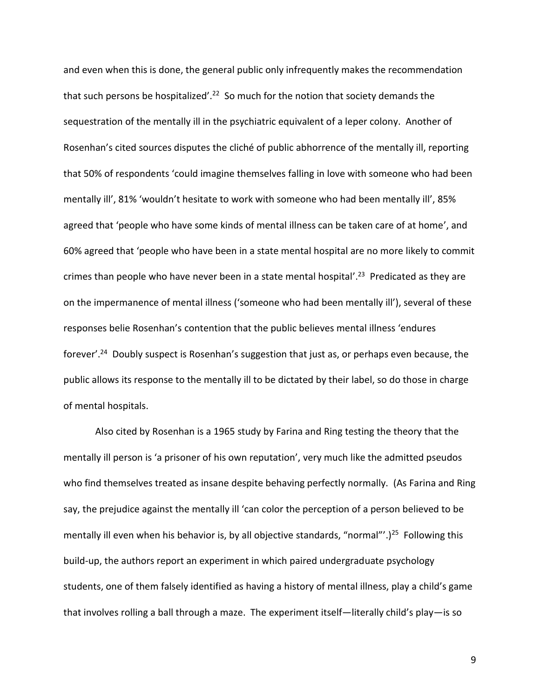and even when this is done, the general public only infrequently makes the recommendation that such persons be hospitalized'.<sup>22</sup> So much for the notion that society demands the sequestration of the mentally ill in the psychiatric equivalent of a leper colony. Another of Rosenhan's cited sources disputes the cliché of public abhorrence of the mentally ill, reporting that 50% of respondents 'could imagine themselves falling in love with someone who had been mentally ill', 81% 'wouldn't hesitate to work with someone who had been mentally ill', 85% agreed that 'people who have some kinds of mental illness can be taken care of at home', and 60% agreed that 'people who have been in a state mental hospital are no more likely to commit crimes than people who have never been in a state mental hospital'.<sup>23</sup> Predicated as they are on the impermanence of mental illness ('someone who had been mentally ill'), several of these responses belie Rosenhan's contention that the public believes mental illness 'endures forever'.<sup>24</sup> Doubly suspect is Rosenhan's suggestion that just as, or perhaps even because, the public allows its response to the mentally ill to be dictated by their label, so do those in charge of mental hospitals.

Also cited by Rosenhan is a 1965 study by Farina and Ring testing the theory that the mentally ill person is 'a prisoner of his own reputation', very much like the admitted pseudos who find themselves treated as insane despite behaving perfectly normally. (As Farina and Ring say, the prejudice against the mentally ill 'can color the perception of a person believed to be mentally ill even when his behavior is, by all objective standards, "normal"'.)<sup>25</sup> Following this build-up, the authors report an experiment in which paired undergraduate psychology students, one of them falsely identified as having a history of mental illness, play a child's game that involves rolling a ball through a maze. The experiment itself—literally child's play—is so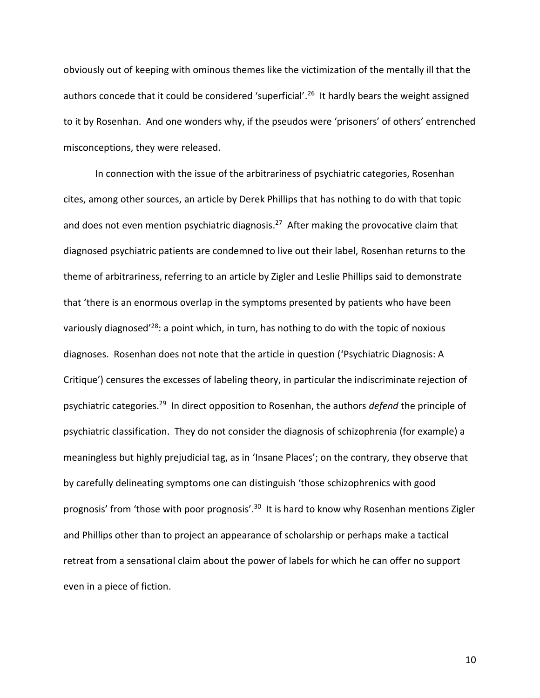obviously out of keeping with ominous themes like the victimization of the mentally ill that the authors concede that it could be considered 'superficial'.<sup>26</sup> It hardly bears the weight assigned to it by Rosenhan. And one wonders why, if the pseudos were 'prisoners' of others' entrenched misconceptions, they were released.

In connection with the issue of the arbitrariness of psychiatric categories, Rosenhan cites, among other sources, an article by Derek Phillips that has nothing to do with that topic and does not even mention psychiatric diagnosis.<sup>27</sup> After making the provocative claim that diagnosed psychiatric patients are condemned to live out their label, Rosenhan returns to the theme of arbitrariness, referring to an article by Zigler and Leslie Phillips said to demonstrate that 'there is an enormous overlap in the symptoms presented by patients who have been variously diagnosed<sup>'28</sup>: a point which, in turn, has nothing to do with the topic of noxious diagnoses. Rosenhan does not note that the article in question ('Psychiatric Diagnosis: A Critique') censures the excesses of labeling theory, in particular the indiscriminate rejection of psychiatric categories.<sup>29</sup> In direct opposition to Rosenhan, the authors *defend* the principle of psychiatric classification. They do not consider the diagnosis of schizophrenia (for example) a meaningless but highly prejudicial tag, as in 'Insane Places'; on the contrary, they observe that by carefully delineating symptoms one can distinguish 'those schizophrenics with good prognosis' from 'those with poor prognosis'.<sup>30</sup> It is hard to know why Rosenhan mentions Zigler and Phillips other than to project an appearance of scholarship or perhaps make a tactical retreat from a sensational claim about the power of labels for which he can offer no support even in a piece of fiction.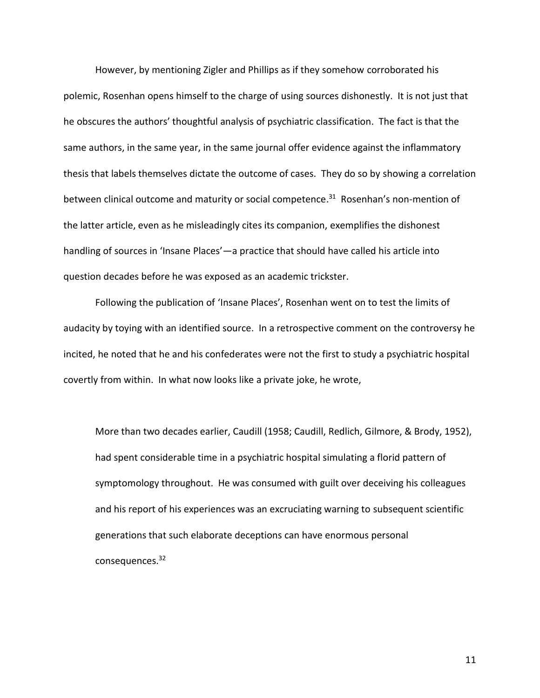However, by mentioning Zigler and Phillips as if they somehow corroborated his polemic, Rosenhan opens himself to the charge of using sources dishonestly. It is not just that he obscures the authors' thoughtful analysis of psychiatric classification. The fact is that the same authors, in the same year, in the same journal offer evidence against the inflammatory thesis that labels themselves dictate the outcome of cases. They do so by showing a correlation between clinical outcome and maturity or social competence.<sup>31</sup> Rosenhan's non-mention of the latter article, even as he misleadingly cites its companion, exemplifies the dishonest handling of sources in 'Insane Places'—a practice that should have called his article into question decades before he was exposed as an academic trickster.

Following the publication of 'Insane Places', Rosenhan went on to test the limits of audacity by toying with an identified source. In a retrospective comment on the controversy he incited, he noted that he and his confederates were not the first to study a psychiatric hospital covertly from within. In what now looks like a private joke, he wrote,

More than two decades earlier, Caudill (1958; Caudill, Redlich, Gilmore, & Brody, 1952), had spent considerable time in a psychiatric hospital simulating a florid pattern of symptomology throughout. He was consumed with guilt over deceiving his colleagues and his report of his experiences was an excruciating warning to subsequent scientific generations that such elaborate deceptions can have enormous personal consequences.32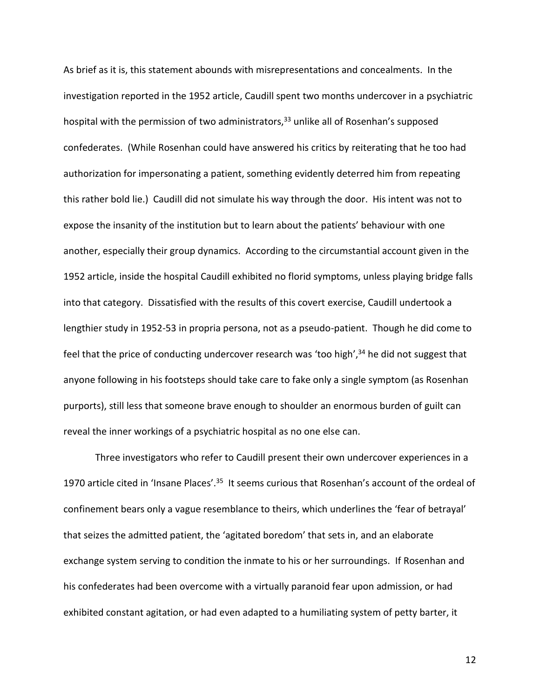As brief as it is, this statement abounds with misrepresentations and concealments. In the investigation reported in the 1952 article, Caudill spent two months undercover in a psychiatric hospital with the permission of two administrators, $33$  unlike all of Rosenhan's supposed confederates. (While Rosenhan could have answered his critics by reiterating that he too had authorization for impersonating a patient, something evidently deterred him from repeating this rather bold lie.) Caudill did not simulate his way through the door. His intent was not to expose the insanity of the institution but to learn about the patients' behaviour with one another, especially their group dynamics. According to the circumstantial account given in the 1952 article, inside the hospital Caudill exhibited no florid symptoms, unless playing bridge falls into that category. Dissatisfied with the results of this covert exercise, Caudill undertook a lengthier study in 1952-53 in propria persona, not as a pseudo-patient. Though he did come to feel that the price of conducting undercover research was 'too high', $34$  he did not suggest that anyone following in his footsteps should take care to fake only a single symptom (as Rosenhan purports), still less that someone brave enough to shoulder an enormous burden of guilt can reveal the inner workings of a psychiatric hospital as no one else can.

Three investigators who refer to Caudill present their own undercover experiences in a 1970 article cited in 'Insane Places'.<sup>35</sup> It seems curious that Rosenhan's account of the ordeal of confinement bears only a vague resemblance to theirs, which underlines the 'fear of betrayal' that seizes the admitted patient, the 'agitated boredom' that sets in, and an elaborate exchange system serving to condition the inmate to his or her surroundings. If Rosenhan and his confederates had been overcome with a virtually paranoid fear upon admission, or had exhibited constant agitation, or had even adapted to a humiliating system of petty barter, it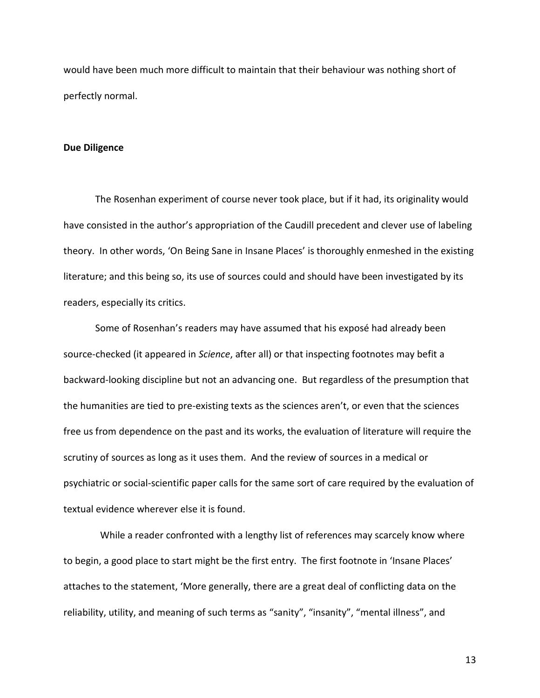would have been much more difficult to maintain that their behaviour was nothing short of perfectly normal.

#### **Due Diligence**

The Rosenhan experiment of course never took place, but if it had, its originality would have consisted in the author's appropriation of the Caudill precedent and clever use of labeling theory. In other words, 'On Being Sane in Insane Places' is thoroughly enmeshed in the existing literature; and this being so, its use of sources could and should have been investigated by its readers, especially its critics.

Some of Rosenhan's readers may have assumed that his exposé had already been source-checked (it appeared in *Science*, after all) or that inspecting footnotes may befit a backward-looking discipline but not an advancing one. But regardless of the presumption that the humanities are tied to pre-existing texts as the sciences aren't, or even that the sciences free us from dependence on the past and its works, the evaluation of literature will require the scrutiny of sources as long as it uses them. And the review of sources in a medical or psychiatric or social-scientific paper calls for the same sort of care required by the evaluation of textual evidence wherever else it is found.

 While a reader confronted with a lengthy list of references may scarcely know where to begin, a good place to start might be the first entry. The first footnote in 'Insane Places' attaches to the statement, 'More generally, there are a great deal of conflicting data on the reliability, utility, and meaning of such terms as "sanity", "insanity", "mental illness", and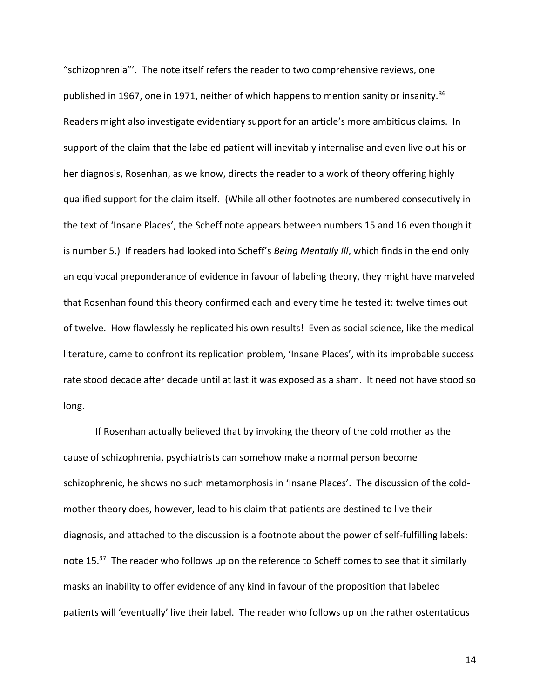"schizophrenia"'. The note itself refers the reader to two comprehensive reviews, one published in 1967, one in 1971, neither of which happens to mention sanity or insanity.<sup>36</sup> Readers might also investigate evidentiary support for an article's more ambitious claims. In support of the claim that the labeled patient will inevitably internalise and even live out his or her diagnosis, Rosenhan, as we know, directs the reader to a work of theory offering highly qualified support for the claim itself. (While all other footnotes are numbered consecutively in the text of 'Insane Places', the Scheff note appears between numbers 15 and 16 even though it is number 5.) If readers had looked into Scheff's *Being Mentally Ill*, which finds in the end only an equivocal preponderance of evidence in favour of labeling theory, they might have marveled that Rosenhan found this theory confirmed each and every time he tested it: twelve times out of twelve. How flawlessly he replicated his own results! Even as social science, like the medical literature, came to confront its replication problem, 'Insane Places', with its improbable success rate stood decade after decade until at last it was exposed as a sham. It need not have stood so long.

If Rosenhan actually believed that by invoking the theory of the cold mother as the cause of schizophrenia, psychiatrists can somehow make a normal person become schizophrenic, he shows no such metamorphosis in 'Insane Places'. The discussion of the coldmother theory does, however, lead to his claim that patients are destined to live their diagnosis, and attached to the discussion is a footnote about the power of self-fulfilling labels: note 15.<sup>37</sup> The reader who follows up on the reference to Scheff comes to see that it similarly masks an inability to offer evidence of any kind in favour of the proposition that labeled patients will 'eventually' live their label. The reader who follows up on the rather ostentatious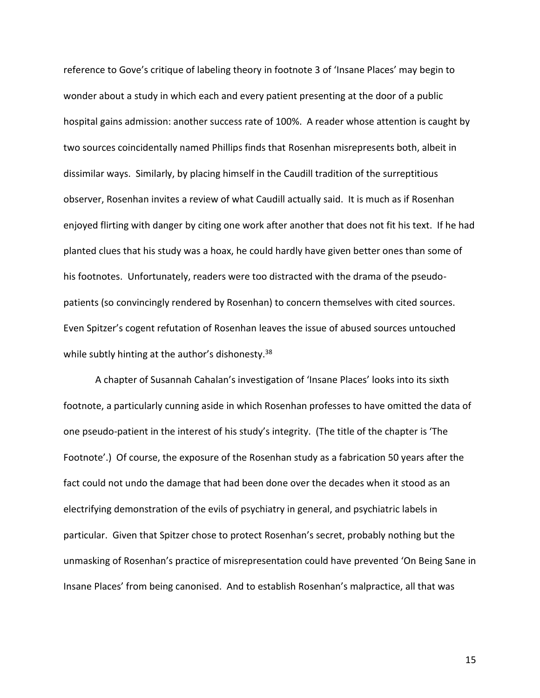reference to Gove's critique of labeling theory in footnote 3 of 'Insane Places' may begin to wonder about a study in which each and every patient presenting at the door of a public hospital gains admission: another success rate of 100%. A reader whose attention is caught by two sources coincidentally named Phillips finds that Rosenhan misrepresents both, albeit in dissimilar ways. Similarly, by placing himself in the Caudill tradition of the surreptitious observer, Rosenhan invites a review of what Caudill actually said. It is much as if Rosenhan enjoyed flirting with danger by citing one work after another that does not fit his text. If he had planted clues that his study was a hoax, he could hardly have given better ones than some of his footnotes. Unfortunately, readers were too distracted with the drama of the pseudopatients (so convincingly rendered by Rosenhan) to concern themselves with cited sources. Even Spitzer's cogent refutation of Rosenhan leaves the issue of abused sources untouched while subtly hinting at the author's dishonesty.<sup>38</sup>

A chapter of Susannah Cahalan's investigation of 'Insane Places' looks into its sixth footnote, a particularly cunning aside in which Rosenhan professes to have omitted the data of one pseudo-patient in the interest of his study's integrity. (The title of the chapter is 'The Footnote'.) Of course, the exposure of the Rosenhan study as a fabrication 50 years after the fact could not undo the damage that had been done over the decades when it stood as an electrifying demonstration of the evils of psychiatry in general, and psychiatric labels in particular. Given that Spitzer chose to protect Rosenhan's secret, probably nothing but the unmasking of Rosenhan's practice of misrepresentation could have prevented 'On Being Sane in Insane Places' from being canonised. And to establish Rosenhan's malpractice, all that was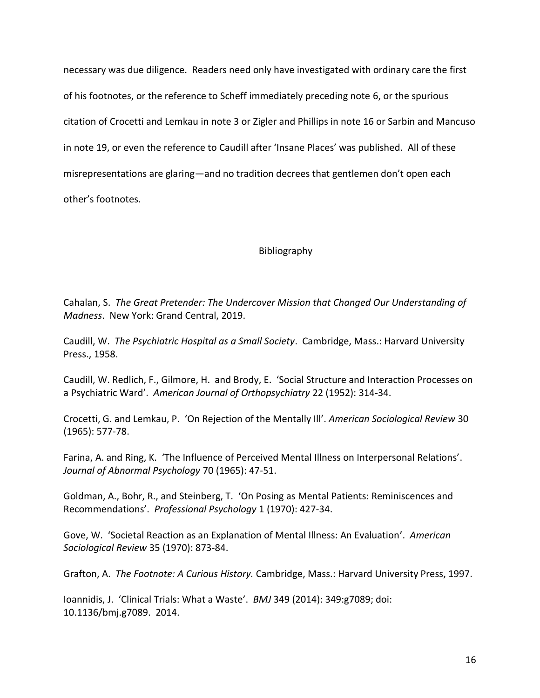necessary was due diligence. Readers need only have investigated with ordinary care the first of his footnotes, or the reference to Scheff immediately preceding note 6, or the spurious citation of Crocetti and Lemkau in note 3 or Zigler and Phillips in note 16 or Sarbin and Mancuso in note 19, or even the reference to Caudill after 'Insane Places' was published. All of these misrepresentations are glaring—and no tradition decrees that gentlemen don't open each other's footnotes.

# Bibliography

Cahalan, S. *The Great Pretender: The Undercover Mission that Changed Our Understanding of Madness*. New York: Grand Central, 2019.

Caudill, W. *The Psychiatric Hospital as a Small Society*. Cambridge, Mass.: Harvard University Press., 1958.

Caudill, W. Redlich, F., Gilmore, H. and Brody, E. 'Social Structure and Interaction Processes on a Psychiatric Ward'. *American Journal of Orthopsychiatry* 22 (1952): 314-34.

Crocetti, G. and Lemkau, P. 'On Rejection of the Mentally Ill'. *American Sociological Review* 30 (1965): 577-78.

Farina, A. and Ring, K. 'The Influence of Perceived Mental Illness on Interpersonal Relations'. *Journal of Abnormal Psychology* 70 (1965): 47-51.

Goldman, A., Bohr, R., and Steinberg, T. 'On Posing as Mental Patients: Reminiscences and Recommendations'. *Professional Psychology* 1 (1970): 427-34.

Gove, W. 'Societal Reaction as an Explanation of Mental Illness: An Evaluation'. *American Sociological Review* 35 (1970): 873-84.

Grafton, A. *The Footnote: A Curious History.* Cambridge, Mass.: Harvard University Press, 1997.

Ioannidis, J. 'Clinical Trials: What a Waste'. *BMJ* 349 (2014): 349:g7089; doi: 10.1136/bmj.g7089. 2014.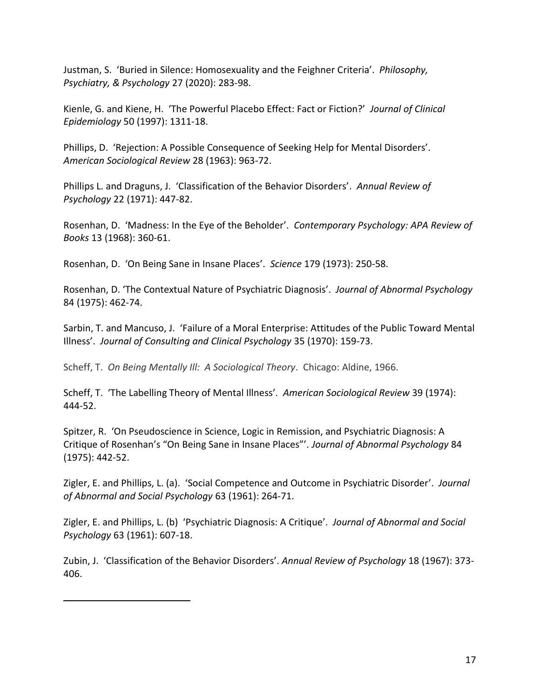Justman, S. 'Buried in Silence: Homosexuality and the Feighner Criteria'. *Philosophy, Psychiatry, & Psychology* 27 (2020): 283-98.

Kienle, G. and Kiene, H. 'The Powerful Placebo Effect: Fact or Fiction?' *Journal of Clinical Epidemiology* 50 (1997): 1311-18.

Phillips, D. 'Rejection: A Possible Consequence of Seeking Help for Mental Disorders'. *American Sociological Review* 28 (1963): 963-72.

Phillips L. and Draguns, J. 'Classification of the Behavior Disorders'. *Annual Review of Psychology* 22 (1971): 447-82.

Rosenhan, D. 'Madness: In the Eye of the Beholder'. *Contemporary Psychology: APA Review of Books* 13 (1968): 360-61.

Rosenhan, D. 'On Being Sane in Insane Places'. *Science* 179 (1973): 250-58.

Rosenhan, D. 'The Contextual Nature of Psychiatric Diagnosis'. *Journal of Abnormal Psychology*  84 (1975): 462-74.

Sarbin, T. and Mancuso, J. 'Failure of a Moral Enterprise: Attitudes of the Public Toward Mental Illness'. *Journal of Consulting and Clinical Psychology* 35 (1970): 159-73.

Scheff, T. *On Being Mentally Ill: A Sociological Theory*. Chicago: Aldine, 1966.

Scheff, T. 'The Labelling Theory of Mental Illness'. *American Sociological Review* 39 (1974): 444-52.

Spitzer, R. 'On Pseudoscience in Science, Logic in Remission, and Psychiatric Diagnosis: A Critique of Rosenhan's "On Being Sane in Insane Places"'. *Journal of Abnormal Psychology* 84 (1975): 442-52.

Zigler, E. and Phillips, L. (a). 'Social Competence and Outcome in Psychiatric Disorder'. *Journal of Abnormal and Social Psychology* 63 (1961): 264-71.

Zigler, E. and Phillips, L. (b) 'Psychiatric Diagnosis: A Critique'. *Journal of Abnormal and Social Psychology* 63 (1961): 607-18.

Zubin, J. 'Classification of the Behavior Disorders'. *Annual Review of Psychology* 18 (1967): 373- 406.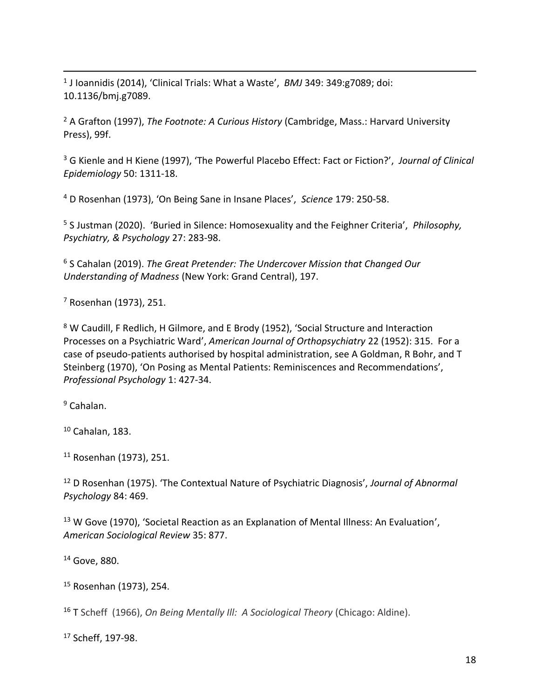1 J Ioannidis (2014), 'Clinical Trials: What a Waste', *BMJ* 349: 349:g7089; doi: 10.1136/bmj.g7089.

<sup>2</sup> A Grafton (1997), *The Footnote: A Curious History* (Cambridge, Mass.: Harvard University Press), 99f.

<sup>3</sup> G Kienle and H Kiene (1997), 'The Powerful Placebo Effect: Fact or Fiction?', *Journal of Clinical Epidemiology* 50: 1311-18.

<sup>4</sup> D Rosenhan (1973), 'On Being Sane in Insane Places', *Science* 179: 250-58.

<sup>5</sup> S Justman (2020). 'Buried in Silence: Homosexuality and the Feighner Criteria', *Philosophy, Psychiatry, & Psychology* 27: 283-98.

<sup>6</sup> S Cahalan (2019). *The Great Pretender: The Undercover Mission that Changed Our Understanding of Madness* (New York: Grand Central), 197.

<sup>7</sup> Rosenhan (1973), 251.

<sup>8</sup> W Caudill, F Redlich, H Gilmore, and E Brody (1952), 'Social Structure and Interaction Processes on a Psychiatric Ward', *American Journal of Orthopsychiatry* 22 (1952): 315. For a case of pseudo-patients authorised by hospital administration, see A Goldman, R Bohr, and T Steinberg (1970), 'On Posing as Mental Patients: Reminiscences and Recommendations', *Professional Psychology* 1: 427-34.

<sup>9</sup> Cahalan.

<sup>10</sup> Cahalan, 183.

<sup>11</sup> Rosenhan (1973), 251.

<sup>12</sup> D Rosenhan (1975). 'The Contextual Nature of Psychiatric Diagnosis', *Journal of Abnormal Psychology* 84: 469.

<sup>13</sup> W Gove (1970), 'Societal Reaction as an Explanation of Mental Illness: An Evaluation', *American Sociological Review* 35: 877.

<sup>14</sup> Gove, 880.

<sup>15</sup> Rosenhan (1973), 254.

<sup>16</sup> T Scheff (1966), *On Being Mentally Ill: A Sociological Theory* (Chicago: Aldine).

<sup>17</sup> Scheff, 197-98.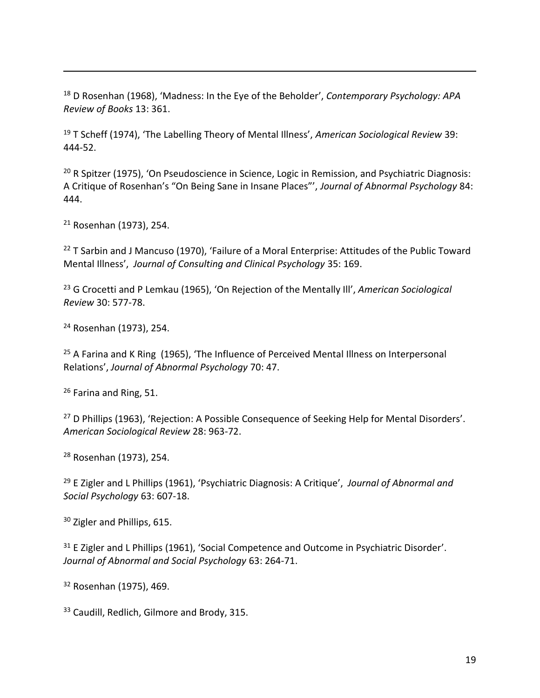<sup>18</sup> D Rosenhan (1968), 'Madness: In the Eye of the Beholder', *Contemporary Psychology: APA Review of Books* 13: 361.

<sup>19</sup> T Scheff (1974), 'The Labelling Theory of Mental Illness', *American Sociological Review* 39: 444-52.

<sup>20</sup> R Spitzer (1975), 'On Pseudoscience in Science, Logic in Remission, and Psychiatric Diagnosis: A Critique of Rosenhan's "On Being Sane in Insane Places"', *Journal of Abnormal Psychology* 84: 444.

<sup>21</sup> Rosenhan (1973), 254.

<sup>22</sup> T Sarbin and J Mancuso (1970), 'Failure of a Moral Enterprise: Attitudes of the Public Toward Mental Illness', *Journal of Consulting and Clinical Psychology* 35: 169.

<sup>23</sup> G Crocetti and P Lemkau (1965), 'On Rejection of the Mentally Ill', *American Sociological Review* 30: 577-78.

<sup>24</sup> Rosenhan (1973), 254.

 $25$  A Farina and K Ring (1965), 'The Influence of Perceived Mental Illness on Interpersonal Relations', *Journal of Abnormal Psychology* 70: 47.

<sup>26</sup> Farina and Ring, 51.

<sup>27</sup> D Phillips (1963), 'Rejection: A Possible Consequence of Seeking Help for Mental Disorders'. *American Sociological Review* 28: 963-72.

<sup>28</sup> Rosenhan (1973), 254.

<sup>29</sup> E Zigler and L Phillips (1961), 'Psychiatric Diagnosis: A Critique', *Journal of Abnormal and Social Psychology* 63: 607-18.

<sup>30</sup> Zigler and Phillips, 615.

<sup>31</sup> E Zigler and L Phillips (1961), 'Social Competence and Outcome in Psychiatric Disorder'. *Journal of Abnormal and Social Psychology* 63: 264-71.

<sup>32</sup> Rosenhan (1975), 469.

<sup>33</sup> Caudill, Redlich, Gilmore and Brody, 315.